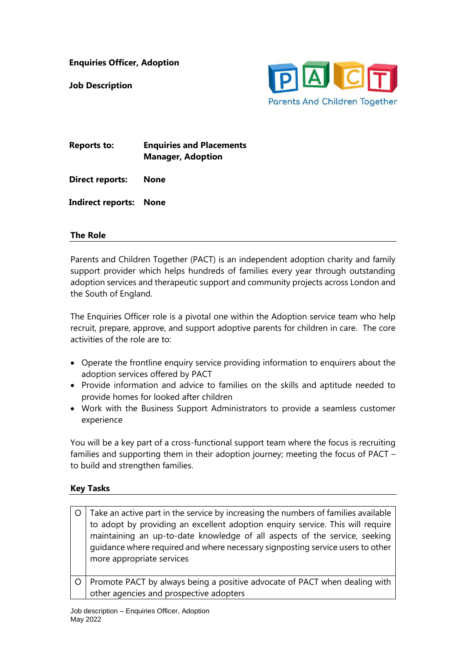**Enquiries Officer, Adoption**

**Job Description** 



| <b>Reports to:</b> | <b>Enquiries and Placements</b> |
|--------------------|---------------------------------|
|                    | <b>Manager, Adoption</b>        |

**Direct reports: None**

**Indirect reports: None** 

## **The Role**

Parents and Children Together (PACT) is an independent adoption charity and family support provider which helps hundreds of families every year through outstanding adoption services and therapeutic support and community projects across London and the South of England.

The Enquiries Officer role is a pivotal one within the Adoption service team who help recruit, prepare, approve, and support adoptive parents for children in care. The core activities of the role are to:

- Operate the frontline enquiry service providing information to enquirers about the adoption services offered by PACT
- Provide information and advice to families on the skills and aptitude needed to provide homes for looked after children
- Work with the Business Support Administrators to provide a seamless customer experience

You will be a key part of a cross-functional support team where the focus is recruiting families and supporting them in their adoption journey; meeting the focus of PACT – to build and strengthen families.

## **Key Tasks**

|         | Take an active part in the service by increasing the numbers of families available<br>to adopt by providing an excellent adoption enquiry service. This will require<br>maintaining an up-to-date knowledge of all aspects of the service, seeking<br>guidance where required and where necessary signposting service users to other<br>more appropriate services |
|---------|-------------------------------------------------------------------------------------------------------------------------------------------------------------------------------------------------------------------------------------------------------------------------------------------------------------------------------------------------------------------|
| $\circ$ | Promote PACT by always being a positive advocate of PACT when dealing with<br>other agencies and prospective adopters                                                                                                                                                                                                                                             |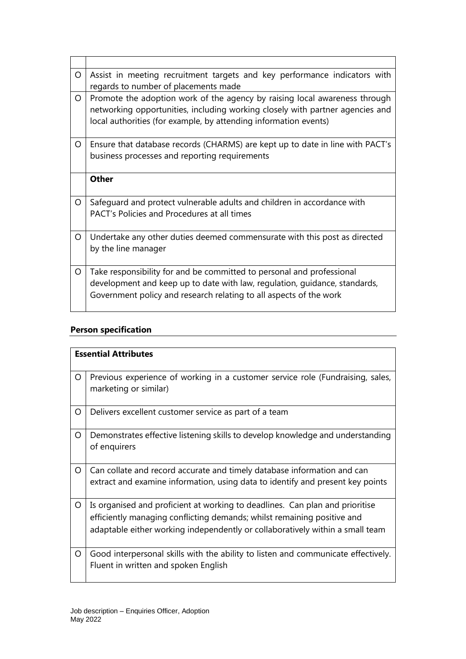| O | Assist in meeting recruitment targets and key performance indicators with<br>regards to number of placements made                                                                                                               |
|---|---------------------------------------------------------------------------------------------------------------------------------------------------------------------------------------------------------------------------------|
| O | Promote the adoption work of the agency by raising local awareness through<br>networking opportunities, including working closely with partner agencies and<br>local authorities (for example, by attending information events) |
| O | Ensure that database records (CHARMS) are kept up to date in line with PACT's<br>business processes and reporting requirements                                                                                                  |
|   | <b>Other</b>                                                                                                                                                                                                                    |
| O | Safeguard and protect vulnerable adults and children in accordance with<br>PACT's Policies and Procedures at all times                                                                                                          |
| O | Undertake any other duties deemed commensurate with this post as directed<br>by the line manager                                                                                                                                |
| O | Take responsibility for and be committed to personal and professional<br>development and keep up to date with law, regulation, guidance, standards,<br>Government policy and research relating to all aspects of the work       |

## **Person specification**

|   | <b>Essential Attributes</b>                                                                                                                                                                                                              |  |
|---|------------------------------------------------------------------------------------------------------------------------------------------------------------------------------------------------------------------------------------------|--|
| O | Previous experience of working in a customer service role (Fundraising, sales,<br>marketing or similar)                                                                                                                                  |  |
| O | Delivers excellent customer service as part of a team                                                                                                                                                                                    |  |
| O | Demonstrates effective listening skills to develop knowledge and understanding<br>of enquirers                                                                                                                                           |  |
| O | Can collate and record accurate and timely database information and can<br>extract and examine information, using data to identify and present key points                                                                                |  |
| O | Is organised and proficient at working to deadlines. Can plan and prioritise<br>efficiently managing conflicting demands; whilst remaining positive and<br>adaptable either working independently or collaboratively within a small team |  |
| O | Good interpersonal skills with the ability to listen and communicate effectively.<br>Fluent in written and spoken English                                                                                                                |  |